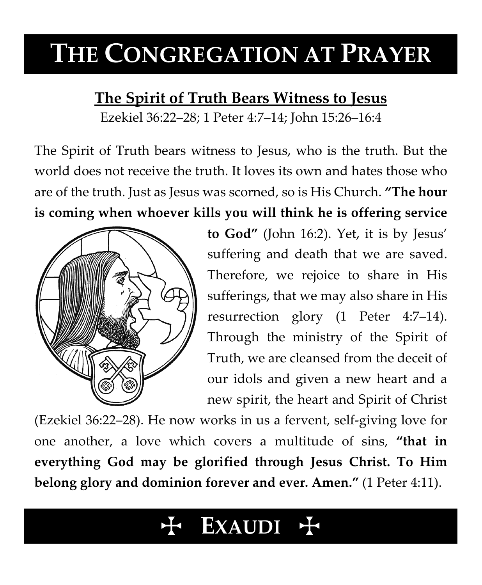# **THE CONGREGATION AT PRAYER**

### **The Spirit of Truth Bears Witness to Jesus**

Ezekiel 36:22–28; 1 Peter 4:7–14; John 15:26–16:4

The Spirit of Truth bears witness to Jesus, who is the truth. But the world does not receive the truth. It loves its own and hates those who are of the truth. Just as Jesus was scorned, so is His Church. **"The hour is coming when whoever kills you will think he is offering service** 



**to God"** (John 16:2). Yet, it is by Jesus' suffering and death that we are saved. Therefore, we rejoice to share in His sufferings, that we may also share in His resurrection glory (1 Peter 4:7–14). Through the ministry of the Spirit of Truth, we are cleansed from the deceit of our idols and given a new heart and a new spirit, the heart and Spirit of Christ

(Ezekiel 36:22–28). He now works in us a fervent, self-giving love for one another, a love which covers a multitude of sins, **"that in everything God may be glorified through Jesus Christ. To Him belong glory and dominion forever and ever. Amen."** (1 Peter 4:11).

## **EXAUDI** +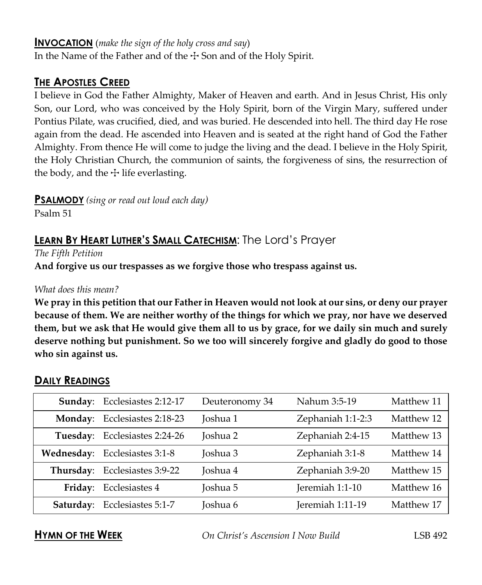#### **INVOCATION** (*make the sign of the holy cross and say*)

In the Name of the Father and of the  $\pm$  Son and of the Holy Spirit.

#### **THE APOSTLES CREED**

I believe in God the Father Almighty, Maker of Heaven and earth. And in Jesus Christ, His only Son, our Lord, who was conceived by the Holy Spirit, born of the Virgin Mary, suffered under Pontius Pilate, was crucified, died, and was buried. He descended into hell. The third day He rose again from the dead. He ascended into Heaven and is seated at the right hand of God the Father Almighty. From thence He will come to judge the living and the dead. I believe in the Holy Spirit, the Holy Christian Church, the communion of saints, the forgiveness of sins, the resurrection of the body, and the  $\pm$  life everlasting.

**PSALMODY** *(sing or read out loud each day)*

Psalm 51

### **LEARN BY HEART LUTHER'S SMALL CATECHISM**: The Lord's Prayer

*The Fifth Petition*

**And forgive us our trespasses as we forgive those who trespass against us.**

#### *What does this mean?*

**We pray in this petition that our Father in Heaven would not look at our sins, or deny our prayer because of them. We are neither worthy of the things for which we pray, nor have we deserved them, but we ask that He would give them all to us by grace, for we daily sin much and surely deserve nothing but punishment. So we too will sincerely forgive and gladly do good to those who sin against us.**

|          | Sunday: Ecclesiastes 2:12-17  | Deuteronomy 34 | Nahum 3:5-19      | Matthew 11 |
|----------|-------------------------------|----------------|-------------------|------------|
|          | Monday: Ecclesiastes 2:18-23  | Joshua 1       | Zephaniah 1:1-2:3 | Matthew 12 |
| Tuesday: | Ecclesiastes 2:24-26          | Joshua 2       | Zephaniah 2:4-15  | Matthew 13 |
|          | Wednesday: Ecclesiastes 3:1-8 | Joshua 3       | Zephaniah 3:1-8   | Matthew 14 |
|          | Thursday: Ecclesiastes 3:9-22 | Joshua 4       | Zephaniah 3:9-20  | Matthew 15 |
|          | Friday: Ecclesiastes 4        | Joshua 5       | Jeremiah 1:1-10   | Matthew 16 |
|          | Saturday: Ecclesiastes 5:1-7  | Joshua 6       | Jeremiah 1:11-19  | Matthew 17 |

#### **DAILY READINGS**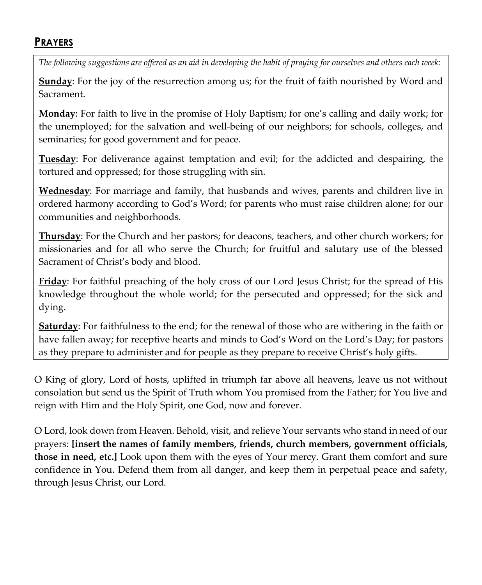#### **PRAYERS**

*The following suggestions are offered as an aid in developing the habit of praying for ourselves and others each week:*

**Sunday**: For the joy of the resurrection among us; for the fruit of faith nourished by Word and Sacrament.

**Monday**: For faith to live in the promise of Holy Baptism; for one's calling and daily work; for the unemployed; for the salvation and well-being of our neighbors; for schools, colleges, and seminaries; for good government and for peace.

**Tuesday**: For deliverance against temptation and evil; for the addicted and despairing, the tortured and oppressed; for those struggling with sin.

**Wednesday**: For marriage and family, that husbands and wives, parents and children live in ordered harmony according to God's Word; for parents who must raise children alone; for our communities and neighborhoods.

**Thursday**: For the Church and her pastors; for deacons, teachers, and other church workers; for missionaries and for all who serve the Church; for fruitful and salutary use of the blessed Sacrament of Christ's body and blood.

**Friday**: For faithful preaching of the holy cross of our Lord Jesus Christ; for the spread of His knowledge throughout the whole world; for the persecuted and oppressed; for the sick and dying.

**Saturday**: For faithfulness to the end; for the renewal of those who are withering in the faith or have fallen away; for receptive hearts and minds to God's Word on the Lord's Day; for pastors as they prepare to administer and for people as they prepare to receive Christ's holy gifts.

O King of glory, Lord of hosts, uplifted in triumph far above all heavens, leave us not without consolation but send us the Spirit of Truth whom You promised from the Father; for You live and reign with Him and the Holy Spirit, one God, now and forever.

O Lord, look down from Heaven. Behold, visit, and relieve Your servants who stand in need of our prayers: **[insert the names of family members, friends, church members, government officials, those in need, etc.]** Look upon them with the eyes of Your mercy. Grant them comfort and sure confidence in You. Defend them from all danger, and keep them in perpetual peace and safety, through Jesus Christ, our Lord.